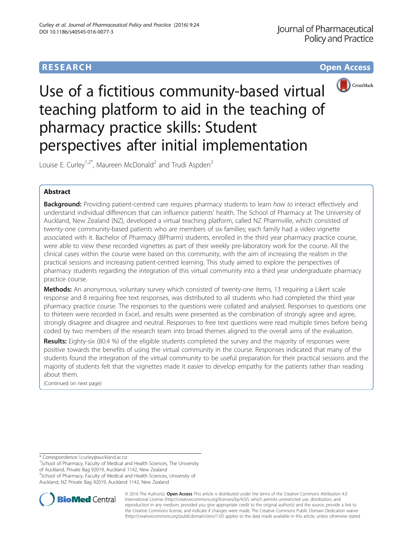# **RESEARCH RESEARCH** *CHECK <b>CHECK*



# Use of a fictitious community-based virtual teaching platform to aid in the teaching of pharmacy practice skills: Student perspectives after initial implementation

Louise E. Curley<sup>1,2\*</sup>, Maureen McDonald<sup>2</sup> and Trudi Aspden<sup>2</sup>

## Abstract

Background: Providing patient-centred care requires pharmacy students to learn how to interact effectively and understand individual differences that can influence patients' health. The School of Pharmacy at The University of Auckland, New Zealand (NZ), developed a virtual teaching platform, called NZ Pharmville, which consisted of twenty-one community-based patients who are members of six families; each family had a video vignette associated with it. Bachelor of Pharmacy (BPharm) students, enrolled in the third year pharmacy practice course, were able to view these recorded vignettes as part of their weekly pre-laboratory work for the course. All the clinical cases within the course were based on this community, with the aim of increasing the realism in the practical sessions and increasing patient-centred learning. This study aimed to explore the perspectives of pharmacy students regarding the integration of this virtual community into a third year undergraduate pharmacy practice course.

Methods: An anonymous, voluntary survey which consisted of twenty-one items, 13 requiring a Likert scale response and 8 requiring free text responses, was distributed to all students who had completed the third year pharmacy practice course. The responses to the questions were collated and analysed. Responses to questions one to thirteen were recorded in Excel, and results were presented as the combination of strongly agree and agree, strongly disagree and disagree and neutral. Responses to free text questions were read multiple times before being coded by two members of the research team into broad themes aligned to the overall aims of the evaluation.

Results: Eighty-six (80.4 %) of the eligible students completed the survey and the majority of responses were positive towards the benefits of using the virtual community in the course. Responses indicated that many of the students found the integration of the virtual community to be useful preparation for their practical sessions and the majority of students felt that the vignettes made it easier to develop empathy for the patients rather than reading about them.

(Continued on next page)

\* Correspondence: [l.curley@auckland.ac.nz](mailto:l.curley@auckland.ac.nz) <sup>1</sup>

<sup>1</sup>School of Pharmacy, Faculty of Medical and Health Sciences, The University of Auckland, Private Bag 92019, Auckland 1142, New Zealand <sup>2</sup>School of Pharmacy, Faculty of Medical and Health Sciences, University of

Auckland, NZ Private Bag 92019, Auckland 1142, New Zealand



© 2016 The Author(s). Open Access This article is distributed under the terms of the Creative Commons Attribution 4.0 International License [\(http://creativecommons.org/licenses/by/4.0/](http://creativecommons.org/licenses/by/4.0/)), which permits unrestricted use, distribution, and reproduction in any medium, provided you give appropriate credit to the original author(s) and the source, provide a link to the Creative Commons license, and indicate if changes were made. The Creative Commons Public Domain Dedication waiver [\(http://creativecommons.org/publicdomain/zero/1.0/](http://creativecommons.org/publicdomain/zero/1.0/)) applies to the data made available in this article, unless otherwise stated.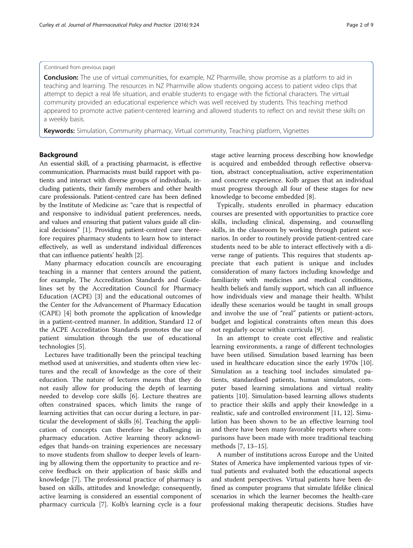## (Continued from previous page)

Conclusion: The use of virtual communities, for example, NZ Pharmville, show promise as a platform to aid in teaching and learning. The resources in NZ Pharmville allow students ongoing access to patient video clips that attempt to depict a real life situation, and enable students to engage with the fictional characters. The virtual community provided an educational experience which was well received by students. This teaching method appeared to promote active patient-centered learning and allowed students to reflect on and revisit these skills on a weekly basis.

Keywords: Simulation, Community pharmacy, Virtual community, Teaching platform, Vignettes

## Background

An essential skill, of a practising pharmacist, is effective communication. Pharmacists must build rapport with patients and interact with diverse groups of individuals, including patients, their family members and other health care professionals. Patient-centred care has been defined by the Institute of Medicine as: "care that is respectful of and responsive to individual patient preferences, needs, and values and ensuring that patient values guide all clinical decisions" [\[1](#page-8-0)]. Providing patient-centred care therefore requires pharmacy students to learn how to interact effectively, as well as understand individual differences that can influence patients' health [\[2](#page-8-0)].

Many pharmacy education councils are encouraging teaching in a manner that centers around the patient, for example, The Accreditation Standards and Guidelines set by the Accreditation Council for Pharmacy Education (ACPE) [[3\]](#page-8-0) and the educational outcomes of the Center for the Advancement of Pharmacy Education (CAPE) [\[4](#page-8-0)] both promote the application of knowledge in a patient-centred manner. In addition, Standard 12 of the ACPE Accreditation Standards promotes the use of patient simulation through the use of educational technologies [[5\]](#page-8-0).

Lectures have traditionally been the principal teaching method used at universities, and students often view lectures and the recall of knowledge as the core of their education. The nature of lectures means that they do not easily allow for producing the depth of learning needed to develop core skills [\[6](#page-8-0)]. Lecture theatres are often constrained spaces, which limits the range of learning activities that can occur during a lecture, in particular the development of skills [\[6](#page-8-0)]. Teaching the application of concepts can therefore be challenging in pharmacy education. Active learning theory acknowledges that hands-on training experiences are necessary to move students from shallow to deeper levels of learning by allowing them the opportunity to practice and receive feedback on their application of basic skills and knowledge [\[7\]](#page-8-0). The professional practice of pharmacy is based on skills, attitudes and knowledge; consequently, active learning is considered an essential component of pharmacy curricula [[7\]](#page-8-0). Kolb's learning cycle is a four stage active learning process describing how knowledge is acquired and embedded through reflective observation, abstract conceptualisation, active experimentation and concrete experience. Kolb argues that an individual must progress through all four of these stages for new knowledge to become embedded [\[8](#page-8-0)].

Typically, students enrolled in pharmacy education courses are presented with opportunities to practice core skills, including clinical, dispensing, and counselling skills, in the classroom by working through patient scenarios. In order to routinely provide patient-centred care students need to be able to interact effectively with a diverse range of patients. This requires that students appreciate that each patient is unique and includes consideration of many factors including knowledge and familiarity with medicines and medical conditions, health beliefs and family support, which can all influence how individuals view and manage their health. Whilst ideally these scenarios would be taught in small groups and involve the use of "real" patients or patient-actors, budget and logistical constraints often mean this does not regularly occur within curricula [\[9\]](#page-8-0).

In an attempt to create cost effective and realistic learning environments, a range of different technologies have been utilised. Simulation based learning has been used in healthcare education since the early 1970s [\[10](#page-8-0)]. Simulation as a teaching tool includes simulated patients, standardised patients, human simulators, computer based learning simulations and virtual reality patients [\[10\]](#page-8-0). Simulation-based learning allows students to practice their skills and apply their knowledge in a realistic, safe and controlled environment [[11, 12\]](#page-8-0). Simulation has been shown to be an effective learning tool and there have been many favorable reports where comparisons have been made with more traditional teaching methods [[7, 13](#page-8-0)–[15\]](#page-8-0).

A number of institutions across Europe and the United States of America have implemented various types of virtual patients and evaluated both the educational aspects and student perspectives. Virtual patients have been defined as computer programs that simulate lifelike clinical scenarios in which the learner becomes the health-care professional making therapeutic decisions. Studies have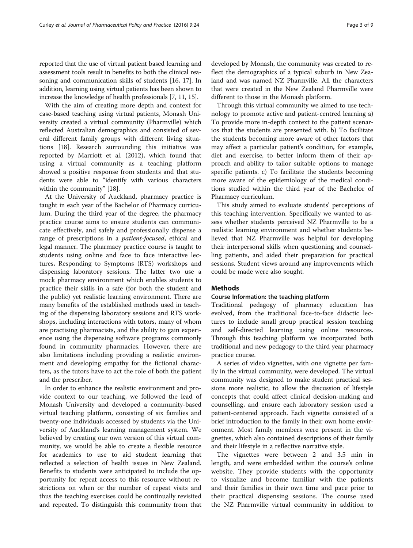reported that the use of virtual patient based learning and assessment tools result in benefits to both the clinical reasoning and communication skills of students [[16](#page-8-0), [17](#page-8-0)]. In addition, learning using virtual patients has been shown to increase the knowledge of health professionals [[7](#page-8-0), [11, 15](#page-8-0)].

With the aim of creating more depth and context for case-based teaching using virtual patients, Monash University created a virtual community (Pharmville) which reflected Australian demographics and consisted of several different family groups with different living situations [\[18\]](#page-8-0). Research surrounding this initiative was reported by Marriott et al. (2012), which found that using a virtual community as a teaching platform showed a positive response from students and that students were able to "identify with various characters within the community" [[18\]](#page-8-0).

At the University of Auckland, pharmacy practice is taught in each year of the Bachelor of Pharmacy curriculum. During the third year of the degree, the pharmacy practice course aims to ensure students can communicate effectively, and safely and professionally dispense a range of prescriptions in a *patient-focused*, ethical and legal manner. The pharmacy practice course is taught to students using online and face to face interactive lectures, Responding to Symptoms (RTS) workshops and dispensing laboratory sessions. The latter two use a mock pharmacy environment which enables students to practice their skills in a safe (for both the student and the public) yet realistic learning environment. There are many benefits of the established methods used in teaching of the dispensing laboratory sessions and RTS workshops, including interactions with tutors, many of whom are practising pharmacists, and the ability to gain experience using the dispensing software programs commonly found in community pharmacies. However, there are also limitations including providing a realistic environment and developing empathy for the fictional characters, as the tutors have to act the role of both the patient and the prescriber.

In order to enhance the realistic environment and provide context to our teaching, we followed the lead of Monash University and developed a community-based virtual teaching platform, consisting of six families and twenty-one individuals accessed by students via the University of Auckland's learning management system. We believed by creating our own version of this virtual community, we would be able to create a flexible resource for academics to use to aid student learning that reflected a selection of health issues in New Zealand. Benefits to students were anticipated to include the opportunity for repeat access to this resource without restrictions on when or the number of repeat visits and thus the teaching exercises could be continually revisited and repeated. To distinguish this community from that developed by Monash, the community was created to reflect the demographics of a typical suburb in New Zealand and was named NZ Pharmville. All the characters that were created in the New Zealand Pharmville were different to those in the Monash platform.

Through this virtual community we aimed to use technology to promote active and patient-centred learning a) To provide more in-depth context to the patient scenarios that the students are presented with. b) To facilitate the students becoming more aware of other factors that may affect a particular patient's condition, for example, diet and exercise, to better inform them of their approach and ability to tailor suitable options to manage specific patients. c) To facilitate the students becoming more aware of the epidemiology of the medical conditions studied within the third year of the Bachelor of Pharmacy curriculum.

This study aimed to evaluate students' perceptions of this teaching intervention. Specifically we wanted to assess whether students perceived NZ Pharmville to be a realistic learning environment and whether students believed that NZ Pharmville was helpful for developing their interpersonal skills when questioning and counselling patients, and aided their preparation for practical sessions. Student views around any improvements which could be made were also sought.

## Methods

#### Course Information: the teaching platform

Traditional pedagogy of pharmacy education has evolved, from the traditional face-to-face didactic lectures to include small group practical session teaching and self-directed learning using online resources. Through this teaching platform we incorporated both traditional and new pedagogy to the third year pharmacy practice course.

A series of video vignettes, with one vignette per family in the virtual community, were developed. The virtual community was designed to make student practical sessions more realistic, to allow the discussion of lifestyle concepts that could affect clinical decision-making and counselling, and ensure each laboratory session used a patient-centered approach. Each vignette consisted of a brief introduction to the family in their own home environment. Most family members were present in the vignettes, which also contained descriptions of their family and their lifestyle in a reflective narrative style.

The vignettes were between 2 and 3.5 min in length, and were embedded within the course's online website. They provide students with the opportunity to visualize and become familiar with the patients and their families in their own time and pace prior to their practical dispensing sessions. The course used the NZ Pharmville virtual community in addition to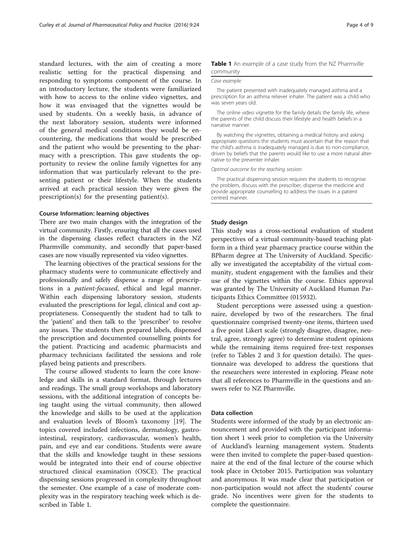<span id="page-3-0"></span>standard lectures, with the aim of creating a more realistic setting for the practical dispensing and responding to symptoms component of the course. In an introductory lecture, the students were familiarized with how to access to the online video vignettes, and how it was envisaged that the vignettes would be used by students. On a weekly basis, in advance of the next laboratory session, students were informed of the general medical conditions they would be encountering, the medications that would be prescribed and the patient who would be presenting to the pharmacy with a prescription. This gave students the opportunity to review the online family vignettes for any information that was particularly relevant to the presenting patient or their lifestyle. When the students arrived at each practical session they were given the prescription(s) for the presenting patient(s).

#### Course Information: learning objectives

There are two main changes with the integration of the virtual community. Firstly, ensuring that all the cases used in the dispensing classes reflect characters in the NZ Pharmville community, and secondly that paper-based cases are now visually represented via video vignettes.

The learning objectives of the practical sessions for the pharmacy students were to communicate effectively and professionally and safely dispense a range of prescriptions in a patient-focused, ethical and legal manner. Within each dispensing laboratory session, students evaluated the prescriptions for legal, clinical and cost appropriateness. Consequently the student had to talk to the 'patient' and then talk to the 'prescriber' to resolve any issues. The students then prepared labels, dispensed the prescription and documented counselling points for the patient. Practicing and academic pharmacists and pharmacy technicians facilitated the sessions and role played being patients and prescribers.

The course allowed students to learn the core knowledge and skills in a standard format, through lectures and readings. The small group workshops and laboratory sessions, with the additional integration of concepts being taught using the virtual community, then allowed the knowledge and skills to be used at the application and evaluation levels of Bloom's taxonomy [[19](#page-8-0)]. The topics covered included infections, dermatology, gastrointestinal, respiratory, cardiovascular, women's health, pain, and eye and ear conditions. Students were aware that the skills and knowledge taught in these sessions would be integrated into their end of course objective structured clinical examination (OSCE). The practical dispensing sessions progressed in complexity throughout the semester. One example of a case of moderate complexity was in the respiratory teaching week which is described in Table 1.

#### Table 1 An example of a case study from the NZ Pharmville community

# Case example:

The patient presented with inadequately managed asthma and a prescription for an asthma reliever inhaler. The patient was a child who was seven years old.

The online video vignette for the family details the family life, where the parents of the child discuss their lifestyle and health beliefs in a narrative manner.

By watching the vignettes, obtaining a medical history and asking appropriate questions the students must ascertain that the reason that the child's asthma is inadequately managed is due to non-compliance, driven by beliefs that the parents would like to use a more natural alternative to the preventer inhaler.

Optimal outcome for the teaching session:

The practical dispensing session requires the students to recognise the problem, discuss with the prescriber, dispense the medicine and provide appropriate counselling to address the issues in a patient centred manner.

## Study design

This study was a cross-sectional evaluation of student perspectives of a virtual community-based teaching platform in a third year pharmacy practice course within the BPharm degree at The University of Auckland. Specifically we investigated the acceptability of the virtual community, student engagement with the families and their use of the vignettes within the course. Ethics approval was granted by The University of Auckland Human Participants Ethics Committee (015932).

Student perceptions were assessed using a questionnaire, developed by two of the researchers. The final questionnaire comprised twenty-one items, thirteen used a five point Likert scale (strongly disagree, disagree, neutral, agree, strongly agree) to determine student opinions while the remaining items required free-text responses (refer to Tables [2](#page-4-0) and [3](#page-4-0) for question details). The questionnaire was developed to address the questions that the researchers were interested in exploring. Please note that all references to Pharmville in the questions and answers refer to NZ Pharmville.

## Data collection

Students were informed of the study by an electronic announcement and provided with the participant information sheet 1 week prior to completion via the University of Auckland's learning management system. Students were then invited to complete the paper-based questionnaire at the end of the final lecture of the course which took place in October 2015. Participation was voluntary and anonymous. It was made clear that participation or non-participation would not affect the students' course grade. No incentives were given for the students to complete the questionnaire.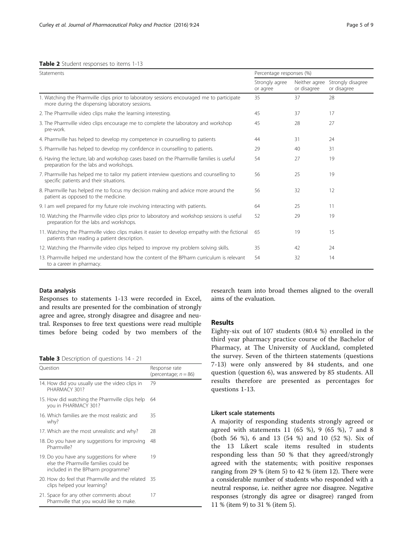<span id="page-4-0"></span>

| Statements                                                                                                                                    | Percentage responses (%)   |                              |                                  |
|-----------------------------------------------------------------------------------------------------------------------------------------------|----------------------------|------------------------------|----------------------------------|
|                                                                                                                                               | Strongly agree<br>or agree | Neither agree<br>or disagree | Strongly disagree<br>or disagree |
| 1. Watching the Pharmville clips prior to laboratory sessions encouraged me to participate<br>more during the dispensing laboratory sessions. | 35                         | 37                           | 28                               |
| 2. The Pharmville video clips make the learning interesting.                                                                                  | 45                         | 37                           | 17                               |
| 3. The Pharmville video clips encourage me to complete the laboratory and workshop<br>pre-work.                                               | 45                         | 28                           | 27                               |
| 4. Pharmville has helped to develop my competence in counselling to patients                                                                  | 44                         | 31                           | 24                               |
| 5. Pharmville has helped to develop my confidence in counselling to patients.                                                                 | 29                         | 40                           | 31                               |
| 6. Having the lecture, lab and workshop cases based on the Pharmville families is useful<br>preparation for the labs and workshops.           | 54                         | 27                           | 19                               |
| 7. Pharmville has helped me to tailor my patient interview questions and counselling to<br>specific patients and their situations.            | 56                         | 25                           | 19                               |
| 8. Pharmville has helped me to focus my decision making and advice more around the<br>patient as opposed to the medicine.                     | 56                         | 32                           | 12                               |
| 9. I am well prepared for my future role involving interacting with patients.                                                                 | 64                         | 25                           | 11                               |
| 10. Watching the Pharmville video clips prior to laboratory and workshop sessions is useful<br>preparation for the labs and workshops.        | 52                         | 29                           | 19                               |
| 11. Watching the Pharmville video clips makes it easier to develop empathy with the fictional<br>patients than reading a patient description. | 65                         | 19                           | 15                               |
| 12. Watching the Pharmville video clips helped to improve my problem solving skills.                                                          | 35                         | 42                           | 24                               |
| 13. Pharmville helped me understand how the content of the BPharm curriculum is relevant<br>to a career in pharmacy.                          | 54                         | 32                           | 14                               |

## Data analysis

Responses to statements 1-13 were recorded in Excel, and results are presented for the combination of strongly agree and agree, strongly disagree and disagree and neutral. Responses to free text questions were read multiple times before being coded by two members of the

Table 3 Description of questions 14 - 21

| Question                                                                                                                | Response rate<br>(percentage; $n = 86$ ) |
|-------------------------------------------------------------------------------------------------------------------------|------------------------------------------|
| 14. How did you usually use the video clips in<br>PHARMACY 301?                                                         | 79                                       |
| 15. How did watching the Pharmville clips help<br>you in PHARMACY 301?                                                  | 64                                       |
| 16. Which families are the most realistic and<br>why?                                                                   | 35                                       |
| 17. Which are the most unrealistic and why?                                                                             | 28                                       |
| 18. Do you have any suggestions for improving<br>Pharmville?                                                            | 48                                       |
| 19. Do you have any suggestions for where<br>else the Pharmville families could be<br>included in the BPharm programme? | 19                                       |
| 20. How do feel that Pharmville and the related 35<br>clips helped your learning?                                       |                                          |
| 21. Space for any other comments about<br>Pharmville that you would like to make.                                       | 17                                       |

research team into broad themes aligned to the overall aims of the evaluation.

#### Results

Eighty-six out of 107 students (80.4 %) enrolled in the third year pharmacy practice course of the Bachelor of Pharmacy, at The University of Auckland, completed the survey. Seven of the thirteen statements (questions 7-13) were only answered by 84 students, and one question (question 6), was answered by 85 students. All results therefore are presented as percentages for questions 1-13.

## Likert scale statements

A majority of responding students strongly agreed or agreed with statements 11 (65 %), 9 (65 %), 7 and 8 (both 56 %), 6 and 13 (54 %) and 10 (52 %). Six of the 13 Likert scale items resulted in students responding less than 50 % that they agreed/strongly agreed with the statements; with positive responses ranging from 29 % (item 5) to 42 % (item 12). There were a considerable number of students who responded with a neutral response, i.e. neither agree nor disagree. Negative responses (strongly dis agree or disagree) ranged from 11 % (item 9) to 31 % (item 5).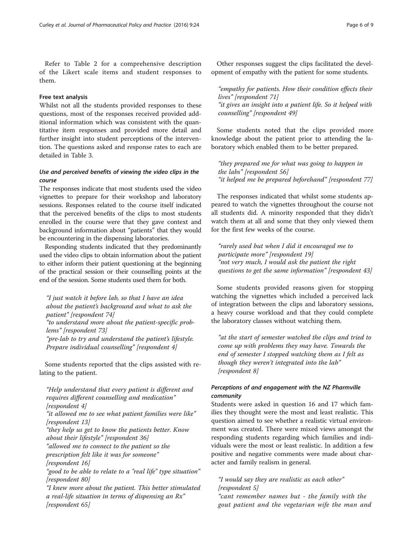Refer to Table [2](#page-4-0) for a comprehensive description of the Likert scale items and student responses to them.

## Free text analysis

Whilst not all the students provided responses to these questions, most of the responses received provided additional information which was consistent with the quantitative item responses and provided more detail and further insight into student perceptions of the intervention. The questions asked and response rates to each are detailed in Table [3](#page-4-0).

## Use and perceived benefits of viewing the video clips in the course

The responses indicate that most students used the video vignettes to prepare for their workshop and laboratory sessions. Responses related to the course itself indicated that the perceived benefits of the clips to most students enrolled in the course were that they gave context and background information about "patients" that they would be encountering in the dispensing laboratories.

Responding students indicated that they predominantly used the video clips to obtain information about the patient to either inform their patient questioning at the beginning of the practical session or their counselling points at the end of the session. Some students used them for both.

"I just watch it before lab, so that I have an idea about the patient's background and what to ask the patient" [respondent 74] "to understand more about the patient-specific problems" [respondent 73]

"pre-lab to try and understand the patient's lifestyle. Prepare individual counselling" [respondent 4]

Some students reported that the clips assisted with relating to the patient.

"Help understand that every patient is different and requires different counselling and medication" [respondent 4] "it allowed me to see what patient families were like" [respondent 13] "they help us get to know the patients better. Know about their lifestyle" [respondent 36] "allowed me to connect to the patient so the prescription felt like it was for someone" [respondent 16] "good to be able to relate to a "real life" type situation" [respondent 80] "I knew more about the patient. This better stimulated

a real-life situation in terms of dispensing an Rx" [respondent 65]

Other responses suggest the clips facilitated the development of empathy with the patient for some students.

"empathy for patients. How their condition effects their lives" [respondent 71] "it gives an insight into a patient life. So it helped with counselling" [respondent 49]

Some students noted that the clips provided more knowledge about the patient prior to attending the laboratory which enabled them to be better prepared.

"they prepared me for what was going to happen in the labs" [respondent 56] "it helped me be prepared beforehand" [respondent 77]

The responses indicated that whilst some students appeared to watch the vignettes throughout the course not all students did. A minority responded that they didn't watch them at all and some that they only viewed them for the first few weeks of the course.

"rarely used but when I did it encouraged me to participate more" [respondent 19] "not very much, I would ask the patient the right questions to get the same information" [respondent 43]

Some students provided reasons given for stopping watching the vignettes which included a perceived lack of integration between the clips and laboratory sessions, a heavy course workload and that they could complete the laboratory classes without watching them.

"at the start of semester watched the clips and tried to come up with problems they may have. Towards the end of semester I stopped watching them as I felt as though they weren't integrated into the lab" [respondent 8]

## Perceptions of and engagement with the NZ Pharmville community

Students were asked in question 16 and 17 which families they thought were the most and least realistic. This question aimed to see whether a realistic virtual environment was created. There were mixed views amongst the responding students regarding which families and individuals were the most or least realistic. In addition a few positive and negative comments were made about character and family realism in general.

"I would say they are realistic as each other" [respondent 5] "cant remember names but - the family with the

gout patient and the vegetarian wife the man and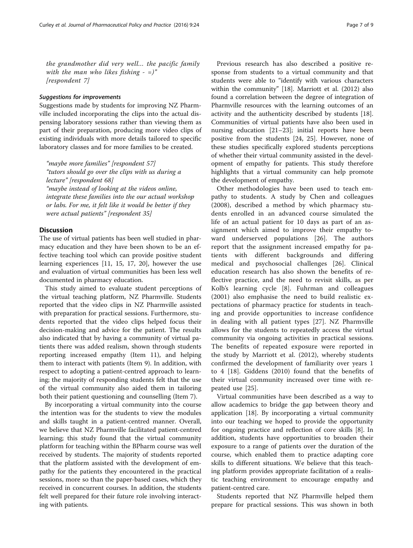the grandmother did very well… the pacific family with the man who likes fishing  $-$  =)" [respondent 7]

## Suggestions for improvements

Suggestions made by students for improving NZ Pharmville included incorporating the clips into the actual dispensing laboratory sessions rather than viewing them as part of their preparation, producing more video clips of existing individuals with more details tailored to specific laboratory classes and for more families to be created.

"maybe more families" [respondent 57] "tutors should go over the clips with us during a lecture" [respondent 68] "maybe instead of looking at the videos online, integrate these families into the our actual workshop or labs. For me, it felt like it would be better if they were actual patients" [respondent 35]

## **Discussion**

The use of virtual patients has been well studied in pharmacy education and they have been shown to be an effective teaching tool which can provide positive student learning experiences [[11, 15, 17](#page-8-0), [20](#page-8-0)], however the use and evaluation of virtual communities has been less well documented in pharmacy education.

This study aimed to evaluate student perceptions of the virtual teaching platform, NZ Pharmville. Students reported that the video clips in NZ Pharmville assisted with preparation for practical sessions. Furthermore, students reported that the video clips helped focus their decision-making and advice for the patient. The results also indicated that by having a community of virtual patients there was added realism, shown through students reporting increased empathy (Item 11), and helping them to interact with patients (Item 9). In addition, with respect to adopting a patient-centred approach to learning; the majority of responding students felt that the use of the virtual community also aided them in tailoring both their patient questioning and counselling (Item 7).

By incorporating a virtual community into the course the intention was for the students to view the modules and skills taught in a patient-centred manner. Overall, we believe that NZ Pharmville facilitated patient-centred learning; this study found that the virtual community platform for teaching within the BPharm course was well received by students. The majority of students reported that the platform assisted with the development of empathy for the patients they encountered in the practical sessions, more so than the paper-based cases, which they received in concurrent courses. In addition, the students felt well prepared for their future role involving interacting with patients.

Previous research has also described a positive response from students to a virtual community and that students were able to "identify with various characters within the community" [\[18](#page-8-0)]. Marriott et al. (2012) also found a correlation between the degree of integration of Pharmville resources with the learning outcomes of an activity and the authenticity described by students [\[18](#page-8-0)]. Communities of virtual patients have also been used in nursing education [[21](#page-8-0)–[23](#page-8-0)]; initial reports have been positive from the students [[24, 25](#page-8-0)]. However, none of

these studies specifically explored students perceptions of whether their virtual community assisted in the development of empathy for patients. This study therefore highlights that a virtual community can help promote the development of empathy.

Other methodologies have been used to teach empathy to students. A study by Chen and colleagues (2008), described a method by which pharmacy students enrolled in an advanced course simulated the life of an actual patient for 10 days as part of an assignment which aimed to improve their empathy toward underserved populations [[26\]](#page-8-0). The authors report that the assignment increased empathy for patients with different backgrounds and differing medical and psychosocial challenges [\[26](#page-8-0)]. Clinical education research has also shown the benefits of reflective practice, and the need to revisit skills, as per Kolb's learning cycle [[8\]](#page-8-0). Fuhrman and colleagues (2001) also emphasise the need to build realistic expectations of pharmacy practice for students in teaching and provide opportunities to increase confidence in dealing with all patient types [[27\]](#page-8-0). NZ Pharmville allows for the students to repeatedly access the virtual community via ongoing activities in practical sessions. The benefits of repeated exposure were reported in the study by Marriott et al. (2012), whereby students confirmed the development of familiarity over years 1 to 4 [[18\]](#page-8-0). Giddens (2010) found that the benefits of their virtual community increased over time with repeated use [[25\]](#page-8-0).

Virtual communities have been described as a way to allow academics to bridge the gap between theory and application [[18](#page-8-0)]. By incorporating a virtual community into our teaching we hoped to provide the opportunity for ongoing practice and reflection of core skills [[8\]](#page-8-0). In addition, students have opportunities to broaden their exposure to a range of patients over the duration of the course, which enabled them to practice adapting core skills to different situations. We believe that this teaching platform provides appropriate facilitation of a realistic teaching environment to encourage empathy and patient-centred care.

Students reported that NZ Pharmville helped them prepare for practical sessions. This was shown in both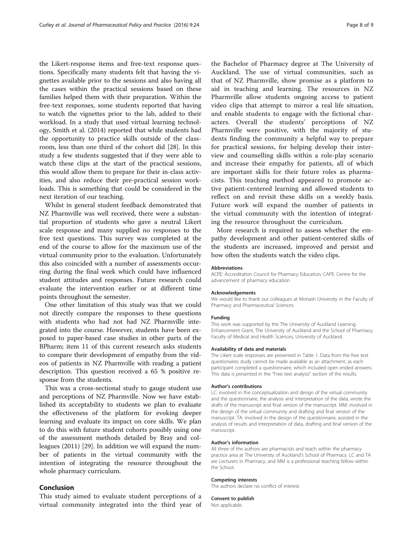the Likert-response items and free-text response questions. Specifically many students felt that having the vignettes available prior to the sessions and also having all the cases within the practical sessions based on these families helped them with their preparation. Within the free-text responses, some students reported that having to watch the vignettes prior to the lab, added to their workload. In a study that used virtual learning technology, Smith et al. (2014) reported that while students had the opportunity to practice skills outside of the classroom, less than one third of the cohort did [[28\]](#page-8-0). In this study a few students suggested that if they were able to watch these clips at the start of the practical sessions, this would allow them to prepare for their in-class activities, and also reduce their pre-practical session workloads. This is something that could be considered in the next iteration of our teaching.

Whilst in general student feedback demonstrated that NZ Pharmville was well received, there were a substantial proportion of students who gave a neutral Likert scale response and many supplied no responses to the free text questions. This survey was completed at the end of the course to allow for the maximum use of the virtual community prior to the evaluation. Unfortunately this also coincided with a number of assessments occurring during the final week which could have influenced student attitudes and responses. Future research could evaluate the intervention earlier or at different time points throughout the semester.

One other limitation of this study was that we could not directly compare the responses to these questions with students who had not had NZ Pharmville integrated into the course. However, students have been exposed to paper-based case studies in other parts of the BPharm; item 11 of this current research asks students to compare their development of empathy from the videos of patients in NZ Pharmville with reading a patient description. This question received a 65 % positive response from the students.

This was a cross-sectional study to gauge student use and perceptions of NZ Pharmville. Now we have established its acceptability to students we plan to evaluate the effectiveness of the platform for evoking deeper learning and evaluate its impact on core skills. We plan to do this with future student cohorts possibly using one of the assessment methods detailed by Bray and colleagues (2011) [\[29](#page-8-0)]. In addition we will expand the number of patients in the virtual community with the intention of integrating the resource throughout the whole pharmacy curriculum.

## Conclusion

This study aimed to evaluate student perceptions of a virtual community integrated into the third year of

the Bachelor of Pharmacy degree at The University of Auckland. The use of virtual communities, such as that of NZ Pharmville, show promise as a platform to aid in teaching and learning. The resources in NZ Pharmville allow students ongoing access to patient video clips that attempt to mirror a real life situation, and enable students to engage with the fictional characters. Overall the students' perceptions of NZ Pharmville were positive, with the majority of students finding the community a helpful way to prepare for practical sessions, for helping develop their interview and counselling skills within a role-play scenario and increase their empathy for patients, all of which are important skills for their future roles as pharmacists. This teaching method appeared to promote active patient-centered learning and allowed students to reflect on and revisit these skills on a weekly basis. Future work will expand the number of patients in the virtual community with the intention of integrating the resource throughout the curriculum.

More research is required to assess whether the empathy development and other patient-centered skills of the students are increased, improved and persist and how often the students watch the video clips.

#### Abbreviations

ACPE: Accreditation Council for Pharmacy Education; CAPE: Centre for the advancement of pharmacy education

#### Acknowledgements

We would like to thank our colleagues at Monash University in the Faculty of Pharmacy and Pharmaceutical Sciences.

#### Funding

This work was supported by the The University of Auckland Learning Enhancement Grant, The University of Auckland and the School of Pharmacy, Faculty of Medical and Health Sciences, University of Auckland.

#### Availability of data and materials

The Likert scale responses are presented in Table [1](#page-3-0). Data from the free text questionaires study cannot be made available as an attachment, as each participant completed a questionnaire, which included open ended answers. This data is presented in the "Free text analysis" section of the results.

#### Author's contributions

LC: involved in the conceptualization and design of the virtual community and the questionnaire, the analysis and interpretation of the data, wrote the drafts of the manuscript and final version of the manuscript. MM: involved in the design of the virtual community and drafting and final version of the manuscript. TA: involved in the design of the questionnaire, assisted in the analysis of results and interpretation of data, drafting and final version of the manuscript.

#### Author's information

All three of the authors are pharmacists and teach within the pharmacy practice area at The University of Auckland's School of Pharmacy. LC and TA are Lecturers in Pharmacy, and MM is a professional teaching fellow within the School.

## Competing interests

The authors declare no conflict of interest.

Consent to publish Not applicable.